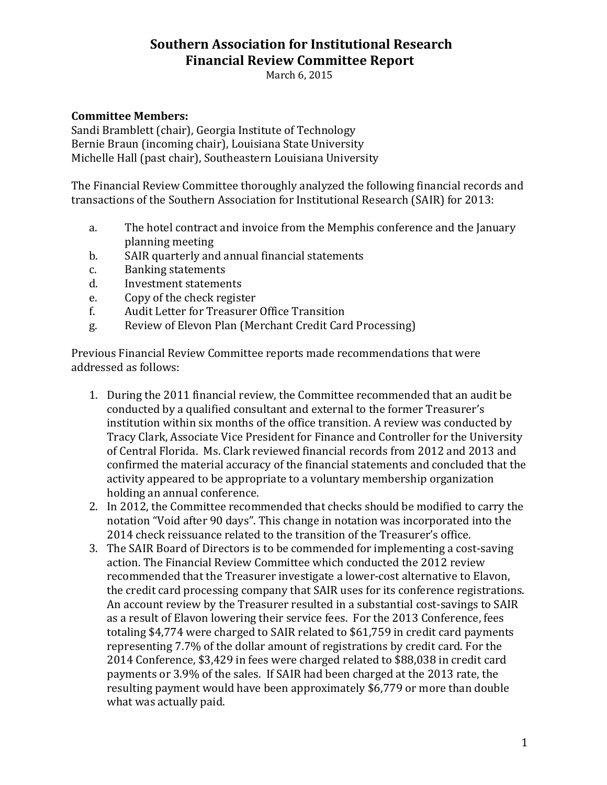#### **Southern Association for Institutional Research Financial Review Committee Report**

March 6, 2015

#### **Committee Members:**

Sandi Bramblett (chair), Georgia Institute of Technology Bernie Braun (incoming chair), Louisiana State University Michelle Hall (past chair), Southeastern Louisiana University

The Financial Review Committee thoroughly analyzed the following financial records and transactions of the Southern Association for Institutional Research (SAIR) for 2013:

- a. The hotel contract and invoice from the Memphis conference and the January planning meeting
- b. SAIR quarterly and annual financial statements<br>c. Banking statements
- c. Banking statements<br>d. Investment statemer
- d. Investment statements<br>e. Copy of the check regist
- 
- e. Copy of the check register<br>f. Audit Letter for Treasurer f. Audit Letter for Treasurer Office Transition
- Review of Elevon Plan (Merchant Credit Card Processing)

Previous Financial Review Committee reports made recommendations that were addressed as follows:

- 1. During the 2011 financial review, the Committee recommended that an audit be conducted by a qualified consultant and external to the former Treasurer's institution within six months of the office transition. A review was conducted by Tracy Clark, Associate Vice President for Finance and Controller for the University of Central Florida. Ms. Clark reviewed financial records from 2012 and 2013 and confirmed the material accuracy of the financial statements and concluded that the activity appeared to be appropriate to a voluntary membership organization holding an annual conference.
- 2. In 2012, the Committee recommended that checks should be modified to carry the notation "Void after 90 days". This change in notation was incorporated into the 2014 check reissuance related to the transition of the Treasurer's office.
- 3. The SAIR Board of Directors is to be commended for implementing a cost-saving action. The Financial Review Committee which conducted the 2012 review recommended that the Treasurer investigate a lower-cost alternative to Elavon, the credit card processing company that SAIR uses for its conference registrations. An account review by the Treasurer resulted in a substantial cost-savings to SAIR as a result of Elavon lowering their service fees. For the 2013 Conference, fees totaling \$4,774 were charged to SAIR related to \$61,759 in credit card payments representing 7.7% of the dollar amount of registrations by credit card. For the 2014 Conference, \$3,429 in fees were charged related to \$88,038 in credit card payments or 3.9% of the sales. If SAIR had been charged at the 2013 rate, the resulting payment would have been approximately \$6,779 or more than double what was actually paid.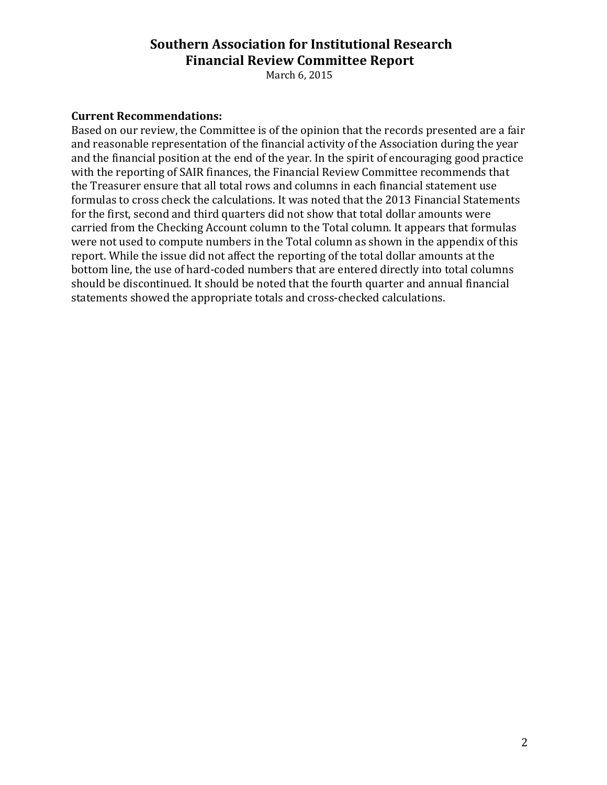#### **Southern Association for Institutional Research Financial Review Committee Report**

March 6, 2015

#### **Current Recommendations:**

Based on our review, the Committee is of the opinion that the records presented are a fair and reasonable representation of the financial activity of the Association during the year and the financial position at the end of the year. In the spirit of encouraging good practice with the reporting of SAIR finances, the Financial Review Committee recommends that the Treasurer ensure that all total rows and columns in each financial statement use formulas to cross check the calculations. It was noted that the 2013 Financial Statements for the first, second and third quarters did not show that total dollar amounts were carried from the Checking Account column to the Total column. It appears that formulas were not used to compute numbers in the Total column as shown in the appendix of this report. While the issue did not affect the reporting of the total dollar amounts at the bottom line, the use of hard-coded numbers that are entered directly into total columns should be discontinued. It should be noted that the fourth quarter and annual financial statements showed the appropriate totals and cross-checked calculations.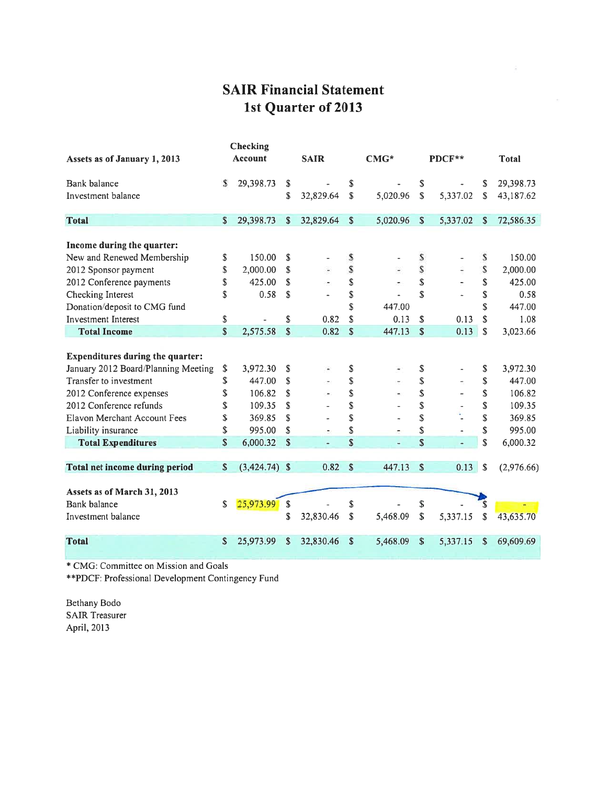# **SAIR Financial Statement** 1st Quarter of 2013

| Assets as of January 1, 2013            |    | <b>Account</b>  |     | <b>SAIR</b>    |              | $CMG*$   |             | PDCF**               |              | <b>Total</b> |
|-----------------------------------------|----|-----------------|-----|----------------|--------------|----------|-------------|----------------------|--------------|--------------|
| Bank balance                            | S  | 29,398.73       | S   |                | \$           |          | \$          |                      | \$           | 29,398.73    |
| Investment balance                      |    |                 | \$  | 32,829.64      | \$           | 5,020.96 | \$          | 5,337.02             | \$           | 43,187.62    |
| <b>Total</b>                            | S  | 29,398.73       | S.  | 32,829.64      | \$           | 5,020.96 | \$          | 5,337.02             | $\mathbf{s}$ | 72,586.35    |
| Income during the quarter:              |    |                 |     |                |              |          |             |                      |              |              |
| New and Renewed Membership              | \$ | 150.00          | \$  |                | \$           |          | \$          |                      | S            | 150.00       |
| 2012 Sponsor payment                    | \$ | 2,000.00        | S   |                | S            |          | $\mathsf S$ |                      | S            | 2,000.00     |
| 2012 Conference payments                | \$ | 425.00          | \$. |                | \$           |          | \$          |                      | \$           | 425.00       |
| Checking Interest                       | \$ | 0.58            | \$  |                | \$           |          | \$          | ä,                   | \$           | 0.58         |
| Donation/deposit to CMG fund            |    |                 |     |                | \$           | 447.00   |             |                      | \$           | 447.00       |
| <b>Investment Interest</b>              | \$ |                 | \$  | 0.82           | \$           | 0.13     | \$          | 0.13                 | \$           | 1.08         |
| <b>Total Income</b>                     | \$ | 2,575.58        | \$  | 0.82           | $\mathbb{S}$ | 447.13   | $\mathbf S$ | 0.13                 | \$           | 3,023.66     |
| <b>Expenditures during the quarter:</b> |    |                 |     |                |              |          |             |                      |              |              |
| January 2012 Board/Planning Meeting     | \$ | 3,972.30        | \$  |                | \$           |          | \$          |                      | \$           | 3,972.30     |
| Transfer to investment                  | \$ | 447.00          | S   |                | \$           |          | \$          |                      | \$           | 447.00       |
| 2012 Conference expenses                | \$ | 106.82          | S   |                | \$           |          | \$          |                      | \$           | 106.82       |
| 2012 Conference refunds                 | S  | 109.35          | S   |                | \$           |          | \$          |                      | \$           | 109.35       |
| Elavon Merchant Account Fees            | \$ | 369.85          | S   |                | \$           |          | \$          |                      | \$           | 369.85       |
| Liability insurance                     | \$ | 995.00          | S   |                | S            |          | \$          |                      | \$           | 995.00       |
| <b>Total Expenditures</b>               | \$ | 6,000.32        | S   | $\blacksquare$ | \$           | u,       | \$          | $\ddot{\phantom{1}}$ | \$           | 6,000.32     |
|                                         | S  | $(3,424.74)$ \$ |     | 0.82           | S            | 447.13   | S           | 0.13                 | $\mathbf S$  | (2,976.66)   |
| <b>Total net income during period</b>   |    |                 |     |                |              |          |             |                      |              |              |
| Assets as of March 31, 2013             |    |                 |     |                |              |          |             |                      |              |              |
| Bank balance                            | \$ | 25,973.99       | \$  |                | \$           |          | \$          |                      |              |              |
| Investment balance                      |    |                 | \$  | 32,830.46      | \$           | 5,468.09 | \$          | 5,337.15             | \$           | 43,635.70    |
| <b>Total</b>                            | \$ | 25,973.99       | \$  | 32,830.46      | \$           | 5,468.09 | \$          | 5,337.15             | \$           | 69,609.69    |

\* CMG: Committee on Mission and Goals

\*\*PDCF: Professional Development Contingency Fund

Bethany Bodo SAIR Treasurer April, 2013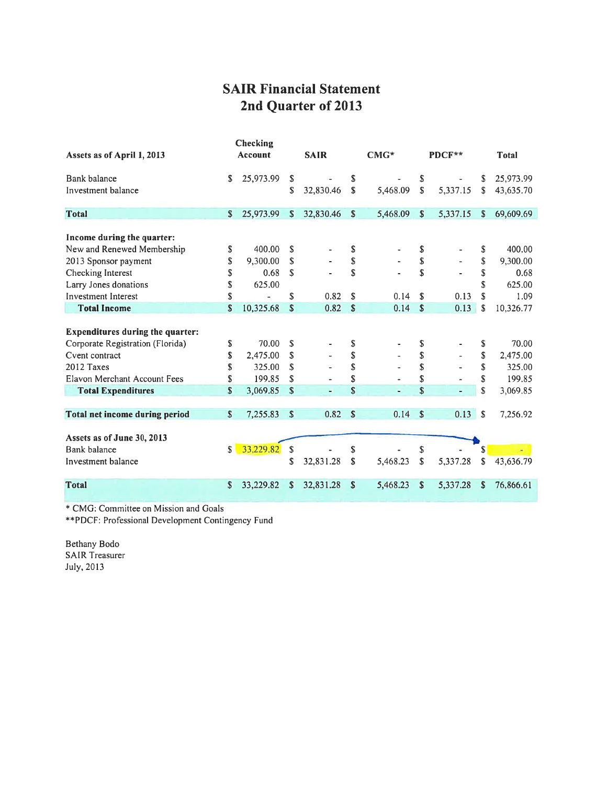# **SAIR Financial Statement** 2nd Quarter of 2013

| Assets as of April 1, 2013                                         | Checking<br>Account |                             | <b>SAIR</b>   |                          |                    | $CMG*$       |                     | PDCF**       |                | <b>Total</b>                |  |  |
|--------------------------------------------------------------------|---------------------|-----------------------------|---------------|--------------------------|--------------------|--------------|---------------------|--------------|----------------|-----------------------------|--|--|
| Bank balance<br>Investment balance                                 | S.                  | 25,973.99                   | S<br>\$       | 32,830.46                | S<br>S.            | 5,468.09     | S<br>\$             | 5,337.15     | S<br>S         | 25,973.99<br>43,635.70      |  |  |
| <b>Total</b>                                                       | $\mathbf{s}$        | 25,973.99                   | S             | 32,830.46                | \$                 | 5,468.09     | $\mathbb{S}$        | 5,337.15     | S              | 69,609.69                   |  |  |
| Income during the quarter:<br>New and Renewed Membership           | \$<br>\$            | 400.00<br>9,300.00          | S<br>\$       |                          | \$<br>\$           |              | S<br>\$             |              | \$<br>\$       | 400.00<br>9,300.00          |  |  |
| 2013 Sponsor payment<br>Checking Interest<br>Larry Jones donations | \$<br>\$            | 0.68<br>625.00              | S             |                          | S                  |              | \$                  |              | \$<br>\$       | 0.68<br>625.00              |  |  |
| <b>Investment Interest</b><br><b>Total Income</b>                  | \$<br>S             | 10,325.68                   | S<br>\$       | 0.82<br>0.82             | S<br>$\mathsf{\$}$ | 0.14<br>0.14 | \$.<br>$\mathbf{s}$ | 0.13<br>0.13 | \$<br>\$       | 1.09<br>10,326.77           |  |  |
| <b>Expenditures during the quarter:</b>                            |                     |                             |               |                          |                    |              |                     |              |                |                             |  |  |
| Corporate Registration (Florida)<br>Cvent contract<br>2012 Taxes   | \$<br>\$<br>\$      | 70.00<br>2,475.00<br>325.00 | S<br>\$<br>\$ |                          | \$<br>\$<br>\$     |              | S<br>\$<br>\$       |              | \$<br>\$<br>\$ | 70.00<br>2,475.00<br>325.00 |  |  |
| Elavon Merchant Account Fees<br><b>Total Expenditures</b>          | \$<br>\$            | 199.85<br>3,069.85          | \$<br>S       | $\overline{\phantom{a}}$ | \$<br>\$           |              | \$<br>$\mathbf{s}$  |              | \$<br>S        | 199.85<br>3,069.85          |  |  |
| <b>Total net income during period</b>                              | $\mathbb{S}$        | 7,255.83                    | $\mathsf{\$}$ | 0.82                     | $\mathbf{s}$       | 0.14         | $\mathsf{\$}$       | $0.13$ \$    |                | 7,256.92                    |  |  |
| Assets as of June 30, 2013<br>Bank halance<br>Investment balance   | S                   | 33,229.82                   | S<br>\$       | 32,831.28                | \$<br>\$           | 5,468.23     | \$<br>\$            | 5,337.28     | S<br>\$        | 43,636.79                   |  |  |
| <b>Total</b>                                                       | S                   | 33,229.82                   | S.            | 32,831.28                | \$                 | 5,468.23     | S                   | 5,337.28     | \$             | 76,866.61                   |  |  |

\* CMG: Committee on Mission and Goals

\*\*PDCF: Professional Development Contingency Fund

Bethany Bodo **SAIR Treasurer** July, 2013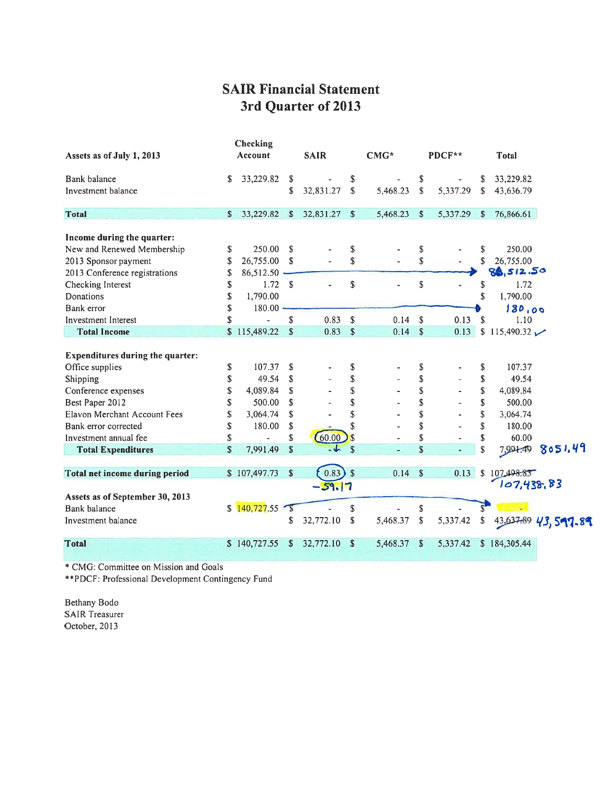### **SAIR Financial Statement** 3rd Quarter of 2013

|                                         |              | Checking       |                         |             |               |          |                           |          |                        |                           |
|-----------------------------------------|--------------|----------------|-------------------------|-------------|---------------|----------|---------------------------|----------|------------------------|---------------------------|
| Assets as of July 1, 2013               |              | <b>Account</b> |                         | <b>SAIR</b> |               | $CMG*$   |                           | PDCF**   |                        | <b>Total</b>              |
| Bank balance                            | S            | 33,229.82      | S.                      |             | \$            |          | \$                        |          | S                      | 33,229.82                 |
| Investment balance                      |              |                | \$                      | 32,831.27   | $\mathbf S$   | 5,468.23 | \$                        | 5,337.29 | S                      | 43,636.79                 |
| <b>Total</b>                            | S            | 33,229.82      | S.                      | 32,831.27   | \$            | 5,468.23 | S                         | 5,337.29 | S                      | 76,866.61                 |
|                                         |              |                |                         |             |               |          |                           |          |                        |                           |
| Income during the quarter:              |              |                |                         |             |               |          |                           |          |                        |                           |
| New and Renewed Membership              | \$           | 250.00         | -S                      |             | S             |          | \$                        |          | \$                     | 250.00                    |
| 2013 Sponsor payment                    | S            | 26,755.00      | <sup>\$</sup>           |             | \$            |          | \$                        |          | \$                     | 26,755.00                 |
| 2013 Conference registrations           | \$           | 86,512.50      |                         |             |               |          |                           |          |                        | 86,512.50                 |
| Checking Interest                       | \$           | 1.72 S         |                         |             | \$            |          | \$                        |          | S                      | 1.72                      |
| Donations                               | \$           | 1,790.00       |                         |             |               |          |                           |          | S                      | 1,790.00                  |
| Bank error                              | \$           | $180.00 -$     |                         |             |               |          |                           |          |                        | 180,00                    |
| <b>Investment Interest</b>              | S            |                | $\overline{\mathbf{S}}$ | 0.83        | $\mathbf S$   | 0.14     | $\mathbf{s}$              | 0.13     | $\mathbf{\mathcal{S}}$ | 1.10                      |
| <b>Total Income</b>                     | \$           | 115,489.22     | $\mathbb S$             | 0.83        | $\sqrt{3}$    | 0.14     | $\boldsymbol{\mathsf{S}}$ | 0.13     |                        | \$115,490.32              |
|                                         |              |                |                         |             |               |          |                           |          |                        |                           |
| <b>Expenditures during the quarter:</b> |              |                |                         |             |               |          |                           |          |                        |                           |
| Office supplies                         | \$           | 107.37         | S                       |             | \$            |          | \$                        |          | \$                     | 107.37                    |
| Shipping                                | \$           | 49.54          | \$                      |             | \$            |          | \$                        |          | \$                     | 49.54                     |
| Conference expenses                     | \$           | 4,089.84       | \$                      |             | \$            |          | \$                        |          | \$                     | 4,089.84                  |
| Best Paper 2012                         | S            | 500.00         | S.                      |             | \$            |          | \$                        |          | \$                     | 500.00                    |
| Elavon Merchant Account Fees            | S            | 3,064.74       | \$                      |             | \$            |          | \$                        |          | S                      | 3,064.74                  |
| Bank error corrected                    | S            | 180.00         | \$                      |             | \$            |          | \$                        |          | S                      | 180.00                    |
| Investment annual fee                   | \$           |                | \$                      | 60.00       | $\mathcal{S}$ |          | \$                        |          | \$                     | 60.00                     |
| <b>Total Expenditures</b>               | \$           | 7,991.49       | $\mathbf S$             | $-4$        | $\mathsf{s}$  |          | \$                        |          | \$                     | 8051.49<br>7,991.49       |
|                                         |              |                |                         |             |               |          |                           |          |                        |                           |
| <b>Total net income during period</b>   |              | \$107,497.73   | \$                      | 0.83)       | $\sqrt{s}$    | 0.14     | $\mathbf{s}$              | 0.13     |                        | \$107498.83<br>107,438,83 |
| Assets as of September 30, 2013         |              |                |                         | $-59.17$    |               |          |                           |          |                        |                           |
| <b>Bank</b> balance                     | $\mathbb{S}$ | 140,727.55     |                         |             | \$            |          | \$                        |          | $S^{\bullet}$          |                           |
|                                         |              |                |                         |             |               |          |                           |          |                        |                           |
| Investment balance                      |              |                | S                       | 32,772.10   | S             | 5,468.37 | \$                        | 5,337.42 | \$                     | 43,637.89 43,597.89       |
| <b>Total</b>                            |              | \$140,727.55   | S                       | 32,772.10   | -S            | 5,468.37 | Ŝ.                        | 5,337.42 |                        | \$184,305.44              |

\* CMG: Committee on Mission and Goals

\*\*PDCF: Professional Development Contingency Fund

Bethany Bodo **SAIR Treasurer** October, 2013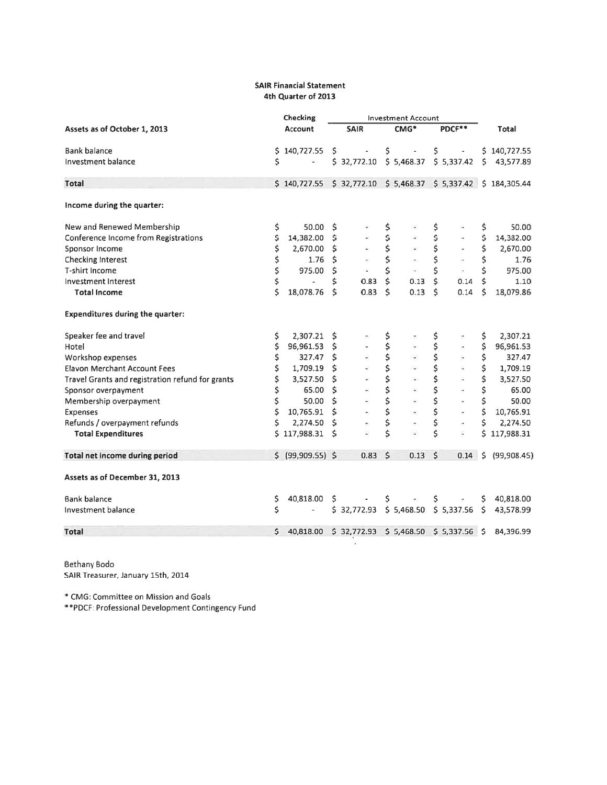#### **SAIR Financial Statement** 4th Quarter of 2013

|                                                  |     | Checking                                                         |     | <b>Investment Account</b>                |                     |                          |    |                            |         |              |
|--------------------------------------------------|-----|------------------------------------------------------------------|-----|------------------------------------------|---------------------|--------------------------|----|----------------------------|---------|--------------|
| Assets as of October 1, 2013                     |     | <b>Account</b>                                                   |     | <b>SAIR</b>                              |                     | CMG*                     |    | PDCF**                     |         | Total        |
| <b>Bank balance</b>                              | \$. | 140,727.55 \$                                                    |     | $\Box$                                   | \$                  | $\overline{\phantom{a}}$ | \$ | $\overline{\phantom{a}}$   |         | \$140,727.55 |
| Investment balance                               | \$  | $\blacksquare$                                                   |     | \$32,772.10                              |                     |                          |    | $$5,468.37$ $$5,337.42$ \$ |         | 43,577.89    |
| <b>Total</b>                                     |     | $$140,727.55 \t$32,772.10 \t$5,468.37 \t$5,337.42 \t$184,305.44$ |     |                                          |                     |                          |    |                            |         |              |
| Income during the quarter:                       |     |                                                                  |     |                                          |                     |                          |    |                            |         |              |
| New and Renewed Membership                       | \$  | 50.00                                                            | \$  |                                          | \$                  |                          | \$ |                            | \$      | 50.00        |
| Conference Income from Registrations             | \$  | 14,382.00                                                        | \$  |                                          | \$                  |                          | \$ | œ.                         | \$      | 14,382.00    |
| Sponsor Income                                   | \$  | 2,670.00                                                         | \$  |                                          | \$                  | $\blacksquare$           | \$ | ÷                          | \$      | 2,670.00     |
| Checking Interest                                | \$  | 1.76                                                             | \$  | ×,                                       | \$                  | $\overline{\phantom{a}}$ | \$ | ×                          | \$      | 1.76         |
| T-shirt Income                                   | \$  | 975.00                                                           | \$  |                                          | \$                  |                          | \$ | $\overline{\phantom{a}}$   | \$      | 975.00       |
| Investment Interest                              | \$  |                                                                  | \$  | 0.83                                     | $\ddot{\mathsf{S}}$ | 0.13                     | Ś  | 0.14                       | $\zeta$ | 1.10         |
| <b>Total Income</b>                              | Ś   | 18,078.76                                                        | Ś   | 0.83                                     | $\mathsf{\hat{S}}$  | 0.13                     | Ś  | 0.14                       | \$      | 18,079.86    |
| <b>Expenditures during the quarter:</b>          |     |                                                                  |     |                                          |                     |                          |    |                            |         |              |
| Speaker fee and travel                           | \$  | 2,307.21                                                         | \$  |                                          | \$                  |                          | \$ |                            | \$      | 2,307.21     |
| Hotel                                            | \$  | 96,961.53                                                        | \$  |                                          | \$                  |                          | \$ |                            | \$      | 96,961.53    |
| Workshop expenses                                | \$  | 327.47                                                           | \$  |                                          | \$                  |                          | \$ |                            | \$      | 327.47       |
| <b>Elavon Merchant Account Fees</b>              | \$  | 1,709.19                                                         | \$  |                                          | \$                  |                          | \$ |                            | \$      | 1,709.19     |
| Travel Grants and registration refund for grants | \$  | 3,527.50                                                         | \$  |                                          | \$                  |                          | \$ | ş                          | \$      | 3,527.50     |
| Sponsor overpayment                              | \$  | 65.00                                                            | \$  | é.                                       | \$                  |                          | \$ | ×                          | \$      | 65.00        |
| Membership overpayment                           | \$  | 50.00                                                            | \$  |                                          | \$                  |                          | \$ | $\overline{\phantom{a}}$   | \$      | 50.00        |
| Expenses                                         | \$  | 10,765.91                                                        | \$  |                                          | \$                  | ۰                        | \$ | ÷.                         | \$      | 10,765.91    |
| Refunds / overpayment refunds                    | \$  | 2,274.50                                                         | Ś   |                                          | \$                  |                          | \$ | ۰                          | \$      | 2,274.50     |
| <b>Total Expenditures</b>                        |     | \$117,988.31                                                     | Ś   |                                          | \$                  |                          | \$ | ź                          | Ś       | 117,988.31   |
| <b>Total net income during period</b>            |     | $$$ (99,909.55) \$                                               |     | 0.83                                     | $\zeta$             | 0.13                     | \$ | 0.14                       | \$.     | (99,908.45)  |
| Assets as of December 31, 2013                   |     |                                                                  |     |                                          |                     |                          |    |                            |         |              |
| <b>Bank balance</b>                              | \$  | 40,818.00                                                        | \$. |                                          | \$                  |                          | \$ |                            | \$      | 40,818.00    |
| Investment balance                               | \$  |                                                                  |     | \$32,772.93                              |                     |                          |    | $$5,468.50$ $$5,337.56$ \$ |         | 43,578.99    |
| <b>Total</b>                                     | Ś.  | 40,818.00                                                        |     | $$32,772.93$ $$5,468.50$ $$5,337.56$ $$$ |                     |                          |    |                            |         | 84,396.99    |

Bethany Bodo SAIR Treasurer, January 15th, 2014

\* CMG: Committee on Mission and Goals

\*\*PDCF: Professional Development Contingency Fund